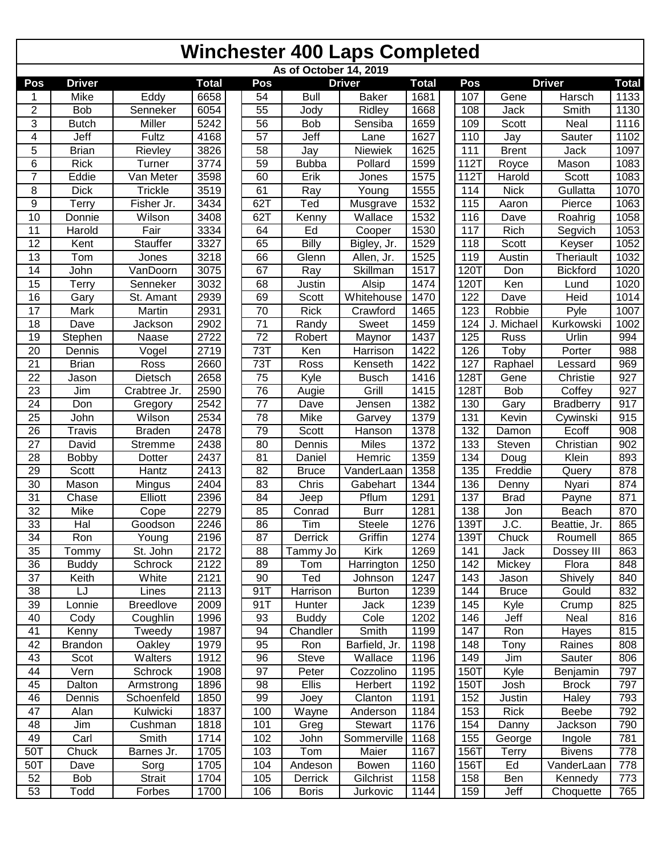| As of October 14, 2019  |                |                  |                   |  |                 |                  |                |              |  |      |              |                  |              |
|-------------------------|----------------|------------------|-------------------|--|-----------------|------------------|----------------|--------------|--|------|--------------|------------------|--------------|
| Pos                     | <b>Driver</b>  |                  | <b>Total</b>      |  | Pos             |                  | <b>Driver</b>  | <b>Total</b> |  | Pos  |              | <b>Driver</b>    | <b>Total</b> |
| 1                       | Mike           | Eddy             | 6658              |  | 54              | <b>Bull</b>      | <b>Baker</b>   | 1681         |  | 107  | Gene         | Harsch           | 1133         |
| $\overline{\mathbf{c}}$ | Bob            | Senneker         | 6054              |  | 55              | Jody             | Ridley         | 1668         |  | 108  | Jack         | Smith            | 1130         |
| $\overline{3}$          | <b>Butch</b>   | Miller           | 5242              |  | $\overline{56}$ | Bob              | Sensiba        | 1659         |  | 109  | Scott        | Neal             | 1116         |
| $\overline{4}$          | Jeff           | Fultz            | 4168              |  | $\overline{57}$ | Jeff             | Lane           | 1627         |  | 110  | Jay          | Sauter           | 1102         |
| $\overline{5}$          | <b>Brian</b>   | Rievley          | 3826              |  | 58              | Jay              | Niewiek        | 1625         |  | 111  | <b>Brent</b> | Jack             | 1097         |
| 6                       | <b>Rick</b>    | Turner           | 3774              |  | 59              | <b>Bubba</b>     | Pollard        | 1599         |  | 112T | Royce        | Mason            | 1083         |
| $\overline{7}$          | Eddie          | Van Meter        | 3598              |  | 60              | Erik             | Jones          | 1575         |  | 112T | Harold       | Scott            | 1083         |
| $\,$ 8 $\,$             | <b>Dick</b>    | <b>Trickle</b>   | 3519              |  | 61              | $\overline{Ray}$ | Young          | 1555         |  | 114  | <b>Nick</b>  | Gullatta         | 1070         |
| $\overline{9}$          | Terry          | Fisher Jr.       | 3434              |  | 62T             | Ted              | Musgrave       | 1532         |  | 115  | Aaron        | Pierce           | 1063         |
| 10                      | Donnie         | Wilson           | 3408              |  | 62T             | Kenny            | Wallace        | 1532         |  | 116  | Dave         | Roahrig          | 1058         |
| 11                      | Harold         | Fair             | 3334              |  | 64              | Ed               | Cooper         | 1530         |  | 117  | Rich         | Segvich          | 1053         |
| 12                      | Kent           | Stauffer         | 3327              |  | 65              | <b>Billy</b>     | Bigley, Jr.    | 1529         |  | 118  | Scott        | Keyser           | 1052         |
| 13                      | Tom            | Jones            | 3218              |  | 66              | Glenn            | Allen, Jr.     | 1525         |  | 119  | Austin       | Theriault        | 1032         |
| 14                      | John           | VanDoorn         | 3075              |  | 67              | Ray              | Skillman       | 1517         |  | 120T | Don          | <b>Bickford</b>  | 1020         |
| 15                      | Terry          | Senneker         | 3032              |  | 68              | Justin           | Alsip          | 1474         |  | 120T | Ken          | Lund             | 1020         |
| 16                      | Gary           | St. Amant        | 2939              |  | 69              | Scott            | Whitehouse     | 1470         |  | 122  | Dave         | Heid             | 1014         |
| 17                      | Mark           | Martin           | 2931              |  | $\overline{70}$ | <b>Rick</b>      | Crawford       | 1465         |  | 123  | Robbie       | Pyle             | 1007         |
| 18                      | Dave           | Jackson          | 2902              |  | $\overline{71}$ | Randy            | Sweet          | 1459         |  | 124  | J. Michael   | Kurkowski        | 1002         |
| 19                      | Stephen        | Naase            | 2722              |  | $\overline{72}$ | Robert           | Maynor         | 1437         |  | 125  | Russ         | Urlin            | 994          |
| 20                      | Dennis         | Vogel            | 2719              |  | 73T             | Ken              | Harrison       | 1422         |  | 126  | Toby         | Porter           | 988          |
| 21                      | <b>Brian</b>   | Ross             | 2660              |  | 73T             | Ross             | Kenseth        | 1422         |  | 127  | Raphael      | Lessard          | 969          |
| 22                      | Jason          | <b>Dietsch</b>   | 2658              |  | 75              | Kyle             | <b>Busch</b>   | 1416         |  | 128T | Gene         | Christie         | 927          |
| 23                      | Jim            | Crabtree Jr.     | 2590              |  | 76              | Augie            | Grill          | 1415         |  | 128T | <b>Bob</b>   | Coffey           | 927          |
| 24                      | Don            | Gregory          | 2542              |  | $\overline{77}$ | Dave             | Jensen         | 1382         |  | 130  | Gary         | <b>Bradberry</b> | 917          |
| $\overline{25}$         | John           | Wilson           | 2534              |  | $\overline{78}$ | Mike             | Garvey         | 1379         |  | 131  | Kevin        | Cywinski         | 915          |
| $\overline{26}$         | Travis         | <b>Braden</b>    | 2478              |  | 79              | Scott            | Hanson         | 1378         |  | 132  | Damon        | Ecoff            | 908          |
| 27                      | David          | Stremme          | 2438              |  | 80              | Dennis           | Miles          | 1372         |  | 133  | Steven       | Christian        | 902          |
| $\overline{28}$         | <b>Bobby</b>   | Dotter           | 2437              |  | 81              | Daniel           | Hemric         | 1359         |  | 134  | Doug         | Klein            | 893          |
| $\overline{29}$         | Scott          | <b>Hantz</b>     | 2413              |  | $\overline{82}$ | <b>Bruce</b>     | VanderLaan     | 1358         |  | 135  | Freddie      | Query            | 878          |
| $\overline{30}$         | Mason          | Mingus           | 2404              |  | 83              | Chris            | Gabehart       | 1344         |  | 136  | Denny        | Nyari            | 874          |
| $\overline{31}$         | Chase          | Elliott          | 2396              |  | 84              | Jeep             | Pflum          | 1291         |  | 137  | <b>Brad</b>  | Payne            | 871          |
| 32                      | Mike           | Cope             | 2279              |  | 85              | Conrad           | <b>Burr</b>    | 1281         |  | 138  | Jon          | Beach            | 870          |
| 33                      | Hal            | Goodson          | 2246              |  | $\overline{86}$ | Tim              | <b>Steele</b>  | 1276         |  | 139T | J.C.         | Beattie, Jr.     | 865          |
| $\overline{34}$         | Ron            | Young            | 2196              |  | 87              | Derrick          | Griffin        | 1274         |  | 139T | Chuck        | Roumell          | 865          |
| $\overline{35}$         | Tommy          | St. John         | 2172              |  | $\overline{88}$ | Tammy Jo         | Kirk           | 1269         |  | 141  | Jack         | Dossey III       | 863          |
| 36                      | <b>Buddy</b>   | Schrock          | 2122              |  | 89              | Tom              | Harrington     | 1250         |  | 142  | Mickey       | Flora            | 848          |
| 37                      | Keith          | White            | 2121              |  | 90              | Ted              | Johnson        | 1247         |  | 143  | Jason        | Shively          | 840          |
| 38                      | LJ             | Lines            | 2113              |  | 91T             | Harrison         | <b>Burton</b>  | 1239         |  | 144  | <b>Bruce</b> | Gould            | 832          |
| 39                      | Lonnie         | <b>Breedlove</b> | 2009              |  | 91T             | Hunter           | Jack           | 1239         |  | 145  | Kyle         | Crump            | 825          |
| 40                      | Cody           | Coughlin         | 1996              |  | 93              | <b>Buddy</b>     | Cole           | 1202         |  | 146  | Jeff         | Neal             | 816          |
| 41                      | Kenny          | Tweedy           | 1987              |  | 94              | Chandler         | Smith          | 1199         |  | 147  | Ron          |                  | 815          |
| 42                      | <b>Brandon</b> | <b>Oakley</b>    | 1979              |  | 95              | Ron              | Barfield, Jr.  | 1198         |  | 148  | Tony         | Hayes<br>Raines  | 808          |
| 43                      | Scot           | Walters          | 1912              |  | 96              | <b>Steve</b>     | Wallace        | 1196         |  | 149  | Jim          | Sauter           | 806          |
|                         |                |                  |                   |  |                 |                  |                |              |  |      |              |                  |              |
| 44                      | Vern           | Schrock          | 1908<br>1896      |  | 97              | Peter<br>Ellis   | Cozzolino      | 1195         |  | 150T | Kyle         | Benjamin         | 797          |
| 45                      | Dalton         | Armstrong        |                   |  | 98              |                  | Herbert        | 1192         |  | 150T | Josh         | <b>Brock</b>     | 797          |
| 46                      | Dennis         | Schoenfeld       | 1850              |  | 99              | Joey             | Clanton        | 1191         |  | 152  | Justin       | Haley            | 793          |
| 47                      | Alan           | Kulwicki         | 1837              |  | 100             | Wayne            | Anderson       | 1184         |  | 153  | <b>Rick</b>  | Beebe            | 792          |
| 48                      | Jim            | Cushman          | 1818              |  | 101             | Greg             | <b>Stewart</b> | 1176         |  | 154  | Danny        | Jackson          | 790          |
| 49                      | Carl           | Smith            | $\overline{1714}$ |  | 102             | John             | Sommerville    | 1168         |  | 155  | George       | Ingole           | 781          |
| 50T                     | Chuck          | Barnes Jr.       | 1705              |  | 103             | Tom              | Maier          | 1167         |  | 156T | Terry        | <b>Bivens</b>    | 778          |
| 50T                     | Dave           | Sorg             | 1705              |  | 104             | Andeson          | <b>Bowen</b>   | 1160         |  | 156T | Ed           | VanderLaan       | 778          |
| 52                      | Bob            | Strait           | 1704              |  | 105             | Derrick          | Gilchrist      | 1158         |  | 158  | Ben          | Kennedy          | 773          |
| 53                      | Todd           | Forbes           | 1700              |  | 106             | <b>Boris</b>     | Jurkovic       | 1144         |  | 159  | Jeff         | Choquette        | 765          |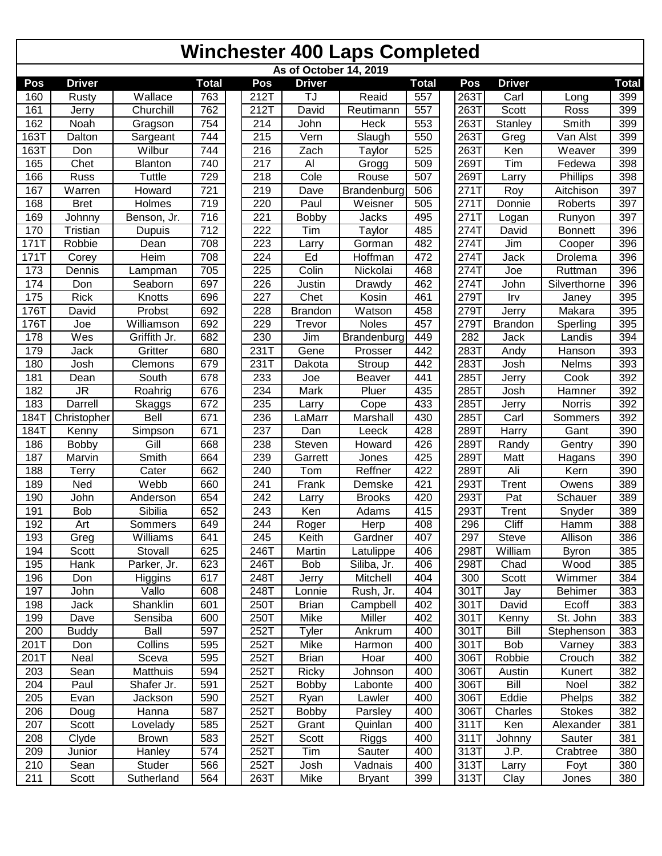| As of October 14, 2019 |               |                |              |  |                  |                   |                |              |  |              |                |                  |              |
|------------------------|---------------|----------------|--------------|--|------------------|-------------------|----------------|--------------|--|--------------|----------------|------------------|--------------|
| Pos                    | <b>Driver</b> |                | <b>Total</b> |  | Pos              | <b>Driver</b>     |                | <b>Total</b> |  | Pos          | <b>Driver</b>  |                  | <b>Total</b> |
| 160                    | Rusty         | Wallace        | 763          |  | 212T             | TJ                | Reaid          | 557          |  | 263T         | Carl           | Long             | 399          |
| 161                    | Jerry         | Churchill      | 762          |  | 212T             | David             | Reutimann      | 557          |  | 263T         | <b>Scott</b>   | Ross             | 399          |
| 162                    | Noah          | Gragson        | 754          |  | 214              | John              | Heck           | 553          |  | 263T         | Stanley        | Smith            | 399          |
| 163T                   | Dalton        | Sargeant       | 744          |  | 215              | Vern              | Slaugh         | 550          |  | 263T         | Greg           | Van Alst         | 399          |
| 163T                   | Don           | Wilbur         | 744          |  | 216              | Zach              | Taylor         | 525          |  | 263T         | Ken            | Weaver           | 399          |
| 165                    | Chet          | <b>Blanton</b> | 740          |  | 217              | Al                | Grogg          | 509          |  | 269T         | Tim            | Fedewa           | 398          |
| 166                    | Russ          | Tuttle         | 729          |  | 218              | Cole              | Rouse          | 507          |  | 269T         | Larry          | Phillips         | 398          |
| 167                    | Warren        | Howard         | 721          |  | 219              | Dave              | Brandenburg    | 506          |  | 271T         | Roy            | Aitchison        | 397          |
| 168                    | <b>Bret</b>   | Holmes         | 719          |  | 220              | Paul              | Weisner        | 505          |  | 271T         | Donnie         | Roberts          | 397          |
| 169                    | Johnny        | Benson, Jr.    | 716          |  | 221              | Bobby             | Jacks          | 495          |  | 271T         | Logan          | Runyon           | 397          |
| 170                    | Tristian      | Dupuis         | 712          |  | 222              | Tim               | Taylor         | 485          |  | 274T         | David          | <b>Bonnett</b>   | 396          |
| 171T                   | Robbie        | Dean           | 708          |  | $\overline{223}$ | Larry             | Gorman         | 482          |  | 274T         | Jim            | Cooper           | 396          |
| 171T                   | Corey         | Heim           | 708          |  | 224              | Ed                | Hoffman        | 472          |  | 274T         | Jack           | Drolema          | 396          |
| 173                    | Dennis        | Lampman        | 705          |  | 225              | Colin             | Nickolai       | 468          |  | 274T         | Joe            | Ruttman          | 396          |
| 174                    | Don           | Seaborn        | 697          |  | 226              | Justin            | Drawdy         | 462          |  | 274T         | John           | Silverthorne     | 396          |
| 175                    | <b>Rick</b>   | Knotts         | 696          |  | 227              | Chet              | Kosin          | 461          |  | 279T         | Irv            | Janey            | 395          |
| 176T                   | David         | Probst         | 692          |  | 228              | <b>Brandon</b>    | Watson         | 458          |  | 279T         | Jerry          | Makara           | 395          |
| 176T                   | Joe           | Williamson     | 692          |  | 229              | Trevor            | <b>Noles</b>   | 457          |  | 279T         | <b>Brandon</b> | Sperling         | 395          |
| 178                    | Wes           | Griffith Jr.   | 682          |  | 230              | Jim               | Brandenburg    | 449          |  | 282          | Jack           | Landis           | 394          |
| 179                    | Jack          | Gritter        | 680          |  | 231T             | Gene              | Prosser        | 442          |  | 283T         | Andy           | Hanson           | 393          |
| 180                    | Josh          | Clemons        | 679          |  | 231T             | Dakota            | Stroup         | 442          |  | 283T         | Josh           | Nelms            | 393          |
| 181                    | Dean          | South          | 678          |  | 233              | Joe               | Beaver         | 441          |  | 285T         | Jerry          | Cook             | 392          |
| 182                    | <b>JR</b>     | Roahrig        | 676          |  | 234              | Mark              | Pluer          | 435          |  | 285T         | Josh           | Hamner           | 392          |
| 183                    | Darrell       | Skaggs         | 672          |  | 235              | Larry             | Cope           | 433          |  | 285T         | Jerry          | Norris           | 392          |
| 184T                   | Christopher   | Bell           | 671          |  | 236              | LaMarr            | Marshall       | 430          |  | 285T         | Carl           | Sommers          | 392          |
| 184T                   | Kenny         | Simpson        | 671          |  | $\overline{237}$ | Dan               | Leeck          | 428          |  | 289T         | Harry          | Gant             | 390          |
| 186                    | Bobby         | Gill           | 668          |  | 238              | Steven            | Howard         | 426          |  | 289T         | Randy          | Gentry           | 390          |
| 187                    | Marvin        | Smith          | 664          |  | 239              | Garrett           | Jones          | 425          |  | 289T         | Matt           | Hagans           | 390          |
| 188                    | Terry         | Cater          | 662          |  | $\overline{240}$ | Tom               | Reffner        | 422          |  | 289T         | <b>Ali</b>     | Kern             | 390          |
| 189                    | Ned           | Webb           | 660          |  | 241              | Frank             | Demske         | 421          |  | 293T         | Trent          | Owens            | 389          |
| 190                    | John          | Anderson       | 654          |  | 242              | Larry             | <b>Brooks</b>  | 420          |  | 293T         | Pat            | Schauer          | 389          |
| 191                    | Bob           | Sibilia        | 652          |  | 243              | Ken               | Adams          | 415          |  | 293T         | Trent          | Snyder           | 389          |
| 192                    | Art           | Sommers        | 649          |  | 244              | Roger             | Herp           | 408          |  | 296          | Cliff          | Hamm             | 388          |
| 193                    | Greg          | Williams       | 641          |  | 245              | Keith             | Gardner        | 407          |  | 297          | Steve          | Allison          | 386          |
| 194                    | Scott         | Stovall        | 625          |  | 246T             | Martin            | Latulippe      | 406          |  | 298T         | William        | <b>Byron</b>     | 385          |
| 195                    | Hank          | Parker, Jr.    | 623          |  | 246T             | Bob               | Siliba, Jr.    | 406          |  | 298T         | Chad           | Wood             | 385          |
| 196                    | Don           | Higgins        | 617          |  | 248T             | Jerry             | Mitchell       | 404          |  | 300          | Scott          | Wimmer           | 384          |
| 197                    | John          | Vallo          | 608          |  | 248T             | Lonnie            | Rush, Jr.      | 404          |  | 301T         | Jay            | <b>Behimer</b>   | 383          |
| 198                    | Jack          | Shanklin       | 601          |  | 250T             | <b>Brian</b>      | Campbell       | 402          |  | 301T         | David          | Ecoff            | 383          |
| 199                    | Dave          | Sensiba        | 600          |  | 250T             | Mike              | Miller         | 402          |  | 301T         | Kenny          | St. John         | 383          |
| 200                    | <b>Buddy</b>  | Ball           | 597          |  | 252T             | Tyler             | Ankrum         | 400          |  | 301T         | Bill           | Stephenson       | 383          |
| 201T                   |               | Collins        |              |  | 252T             | Mike              |                | 400          |  |              | Bob            |                  |              |
| 201T                   | Don<br>Neal   | Sceva          | 595<br>595   |  | 252T             |                   | Harmon<br>Hoar | 400          |  | 301T<br>306T | Robbie         | Varney<br>Crouch | 383<br>382   |
|                        |               |                |              |  |                  | <b>Brian</b>      |                |              |  |              |                |                  |              |
| 203<br>204             | Sean          | Matthuis       | 594<br>591   |  | 252T             | Ricky             | Johnson        | 400          |  | 306T<br>306T | Austin         | Kunert           | 382          |
|                        | Paul          | Shafer Jr.     |              |  | 252T             | <b>Bobby</b>      | Labonte        | 400          |  |              | Bill           | Noel             | 382          |
| 205                    | Evan          | Jackson        | 590          |  | 252T             | Ryan              | Lawler         | 400          |  | 306T         | Eddie          | Phelps           | 382          |
| 206                    | Doug          | Hanna          | 587          |  | 252T             | <b>Bobby</b>      | Parsley        | 400          |  | 306T         | Charles        | <b>Stokes</b>    | 382          |
| 207                    | Scott         | Lovelady       | 585          |  | 252T             | Grant             | Quinlan        | 400          |  | 311T         | Ken            | Alexander        | 381          |
| 208                    | Clyde         | <b>Brown</b>   | 583          |  | 252T             | Scott             | Riggs          | 400          |  | 311T         | Johnny         | Sauter           | 381          |
| 209                    | Junior        | Hanley         | 574          |  | 252T             | $\overline{T}$ im | Sauter         | 400          |  | 313T         | J.P.           | Crabtree         | 380          |
| 210                    | Sean          | Studer         | 566          |  | 252T             | Josh              | Vadnais        | 400          |  | 313T         | Larry          | Foyt             | 380          |
| 211                    | Scott         | Sutherland     | 564          |  | 263T             | Mike              | <b>Bryant</b>  | 399          |  | 313T         | Clay           | Jones            | 380          |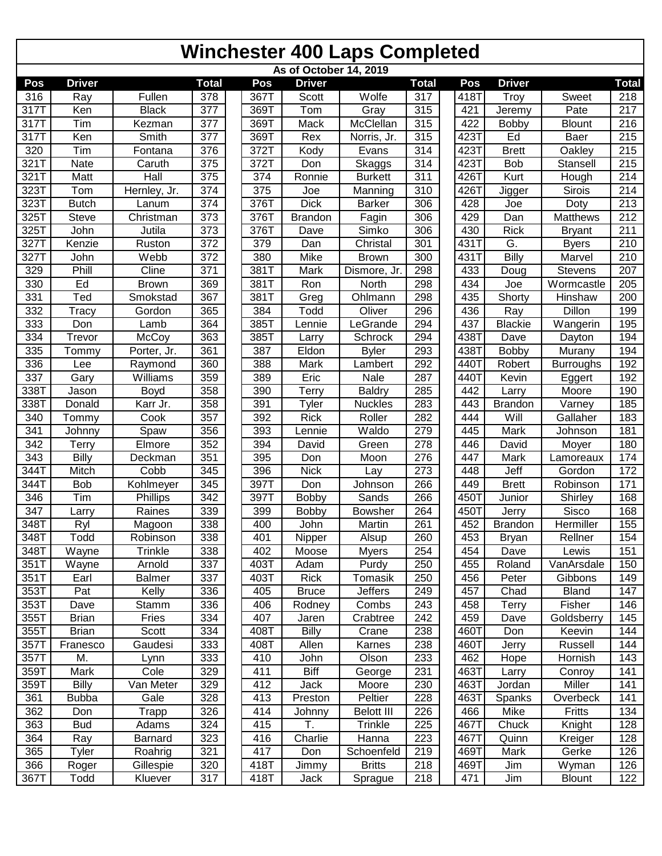| As of October 14, 2019 |               |               |              |  |      |                |                   |                  |  |      |                |                  |              |
|------------------------|---------------|---------------|--------------|--|------|----------------|-------------------|------------------|--|------|----------------|------------------|--------------|
| Pos                    | <b>Driver</b> |               | <b>Total</b> |  | Pos  | <b>Driver</b>  |                   | <b>Total</b>     |  | Pos  | <b>Driver</b>  |                  | <b>Total</b> |
| 316                    | Ray           | Fullen        | 378          |  | 367T | Scott          | Wolfe             | 317              |  | 418T | Troy           | Sweet            | 218          |
| 317T                   | Ken           | <b>Black</b>  | 377          |  | 369T | Tom            | Gray              | 315              |  | 421  | Jeremy         | Pate             | 217          |
| 317T                   | Tim           | Kezman        | 377          |  | 369T | Mack           | McClellan         | 315              |  | 422  | Bobby          | <b>Blount</b>    | 216          |
| 317T                   | Ken           | Smith         | 377          |  | 369T | Rex            | Norris, Jr.       | 315              |  | 423T | Ed             | Baer             | 215          |
| 320                    | Tim           | Fontana       | 376          |  | 372T | Kody           | Evans             | 314              |  | 423T | <b>Brett</b>   | Oakley           | 215          |
| 321T                   | Nate          | Caruth        | 375          |  | 372T | Don            | Skaggs            | 314              |  | 423T | Bob            | Stansell         | 215          |
| 321T                   | Matt          | Hall          | 375          |  | 374  | Ronnie         | <b>Burkett</b>    | 311              |  | 426T | Kurt           | Hough            | 214          |
| 323T                   | Tom           | Hernley, Jr.  | 374          |  | 375  | Joe            | Manning           | 310              |  | 426T | Jigger         | Sirois           | 214          |
| 323T                   | <b>Butch</b>  | Lanum         | 374          |  | 376T | <b>Dick</b>    | <b>Barker</b>     | 306              |  | 428  | Joe            | Doty             | 213          |
| 325T                   | Steve         | Christman     | 373          |  | 376T | <b>Brandon</b> | Fagin             | 306              |  | 429  | Dan            | Matthews         | 212          |
| 325T                   | John          | Jutila        | 373          |  | 376T | Dave           | Simko             | 306              |  | 430  | <b>Rick</b>    | <b>Bryant</b>    | 211          |
| 327T                   | Kenzie        | Ruston        | 372          |  | 379  | Dan            | Christal          | 301              |  | 431T | G.             | <b>Byers</b>     | 210          |
| 327T                   | John          | Webb          | 372          |  | 380  | Mike           | <b>Brown</b>      | 300              |  | 431T | <b>Billy</b>   | Marvel           | 210          |
| 329                    | Phill         | Cline         | 371          |  | 381T | Mark           | Dismore, Jr.      | 298              |  | 433  | Doug           | Stevens          | 207          |
| 330                    | Ed            | <b>Brown</b>  | 369          |  | 381T | Ron            | North             | 298              |  | 434  | Joe            | Wormcastle       | 205          |
| 331                    | Ted           | Smokstad      | 367          |  | 381T | Greg           | Ohlmann           | 298              |  | 435  | Shorty         | Hinshaw          | 200          |
| 332                    | Tracy         | Gordon        | 365          |  | 384  | Todd           | Oliver            | 296              |  | 436  | Ray            | Dillon           | 199          |
| 333                    | Don           | Lamb          | 364          |  | 385T | Lennie         | LeGrande          | 294              |  | 437  | <b>Blackie</b> | Wangerin         | 195          |
| 334                    | Trevor        | McCoy         | 363          |  | 385T | Larry          | Schrock           | 294              |  | 438T | Dave           | Dayton           | 194          |
| 335                    | Tommy         | Porter, Jr.   | 361          |  | 387  | Eldon          | <b>Byler</b>      | 293              |  | 438T | <b>Bobby</b>   | Murany           | 194          |
| 336                    | Lee           | Raymond       | 360          |  | 388  | Mark           | Lambert           | 292              |  | 440T | Robert         | <b>Burroughs</b> | 192          |
| 337                    | Gary          | Williams      | 359          |  | 389  | Eric           | Nale              | 287              |  | 440T | Kevin          | Eggert           | 192          |
| 338T                   | Jason         | Boyd          | 358          |  | 390  | Terry          | <b>Baldry</b>     | 285              |  | 442  | Larry          | Moore            | 190          |
| 338T                   | Donald        | Karr Jr.      | 358          |  | 391  | Tyler          | <b>Nuckles</b>    | 283              |  | 443  | <b>Brandon</b> | Varney           | 185          |
| 340                    | Tommy         | Cook          | 357          |  | 392  | <b>Rick</b>    | Roller            | 282              |  | 444  | Will           | Gallaher         | 183          |
| 341                    | Johnny        | Spaw          | 356          |  | 393  | Lennie         | Waldo             | 279              |  | 445  | Mark           | Johnson          | 181          |
| 342                    | Terry         | Elmore        | 352          |  | 394  | David          | Green             | 278              |  | 446  | David          | Moyer            | 180          |
| $\overline{343}$       | Billy         | Deckman       | 351          |  | 395  | Don            | Moon              | 276              |  | 447  | Mark           | Lamoreaux        | 174          |
| 344T                   | Mitch         | Cobb          | 345          |  | 396  | <b>Nick</b>    | Lay               | $\overline{273}$ |  | 448  | Jeff           | Gordon           | 172          |
| 344T                   | Bob           | Kohlmeyer     | 345          |  | 397T | Don            | Johnson           | 266              |  | 449  | <b>Brett</b>   | Robinson         | 171          |
| 346                    | Tim           | Phillips      | 342          |  | 397T | Bobby          | Sands             | 266              |  | 450T | Junior         | Shirley          | 168          |
| 347                    | Larry         | Raines        | 339          |  | 399  | <b>Bobby</b>   | <b>Bowsher</b>    | 264              |  | 450T | Jerry          | Sisco            | 168          |
| 348T                   | Ryl           | Magoon        | 338          |  | 400  | John           | Martin            | 261              |  | 452  | <b>Brandon</b> | Hermiller        | 155          |
| 348T                   | Todd          | Robinson      | 338          |  | 401  | Nipper         | Alsup             | 260              |  | 453  | <b>Bryan</b>   | Rellner          | 154          |
| 348T                   | Wayne         | Trinkle       | 338          |  | 402  | Moose          | <b>Myers</b>      | 254              |  | 454  | Dave           | Lewis            | 151          |
| 351T                   | Wayne         | Arnold        | 337          |  | 403T | Adam           | Purdy             | 250              |  | 455  | Roland         | VanArsdale       | 150          |
| 351T                   | Earl          | <b>Balmer</b> | 337          |  | 403T | <b>Rick</b>    | Tomasik           | 250              |  | 456  | Peter          | Gibbons          | 149          |
| 353T                   | Pat           | Kelly         | 336          |  | 405  | <b>Bruce</b>   | <b>Jeffers</b>    | 249              |  | 457  | Chad           | <b>Bland</b>     | 147          |
| 353T                   | Dave          | Stamm         | 336          |  | 406  | Rodney         | Combs             | 243              |  | 458  | Terry          | Fisher           | 146          |
| 355T                   | <b>Brian</b>  | Fries         | 334          |  | 407  | Jaren          | Crabtree          | 242              |  | 459  | Dave           | Goldsberry       | 145          |
| 355T                   | <b>Brian</b>  | Scott         | 334          |  | 408T | <b>Billy</b>   | Crane             | 238              |  | 460T | Don            | Keevin           | 144          |
| 357T                   | Franesco      | Gaudesi       | 333          |  | 408T | Allen          | Karnes            | 238              |  | 460T | Jerry          | Russell          | 144          |
| 357T                   | M.            | Lynn          | 333          |  | 410  | John           | Olson             | 233              |  | 462  | Hope           | Hornish          | 143          |
| 359T                   | Mark          | Cole          | 329          |  | 411  | <b>Biff</b>    | George            | 231              |  | 463T | Larry          | Conroy           | 141          |
| 359T                   | Billy         | Van Meter     | 329          |  | 412  | Jack           | Moore             | 230              |  | 463T | Jordan         | Miller           | 141          |
| 361                    | <b>Bubba</b>  | Gale          | 328          |  | 413  | Preston        | Peltier           | 228              |  | 463T | Spanks         | Overbeck         | 141          |
| 362                    | Don           | Trapp         | 326          |  | 414  | Johnny         | <b>Belott III</b> | 226              |  | 466  | Mike           | Fritts           | 134          |
| 363                    | <b>Bud</b>    | Adams         | 324          |  | 415  | Τ.             | Trinkle           | 225              |  | 467T | Chuck          | Knight           | 128          |
| 364                    | Ray           | Barnard       | 323          |  | 416  | Charlie        | Hanna             | 223              |  | 467T | Quinn          | Kreiger          | 128          |
| 365                    | Tyler         | Roahrig       | 321          |  | 417  | Don            | Schoenfeld        | 219              |  | 469T | Mark           | Gerke            | 126          |
| 366                    | Roger         | Gillespie     | 320          |  | 418T | Jimmy          | <b>Britts</b>     | 218              |  | 469T | Jim            | Wyman            | 126          |
| 367T                   | Todd          | Kluever       | 317          |  | 418T | Jack           | Sprague           | 218              |  | 471  | Jim            | <b>Blount</b>    | 122          |
|                        |               |               |              |  |      |                |                   |                  |  |      |                |                  |              |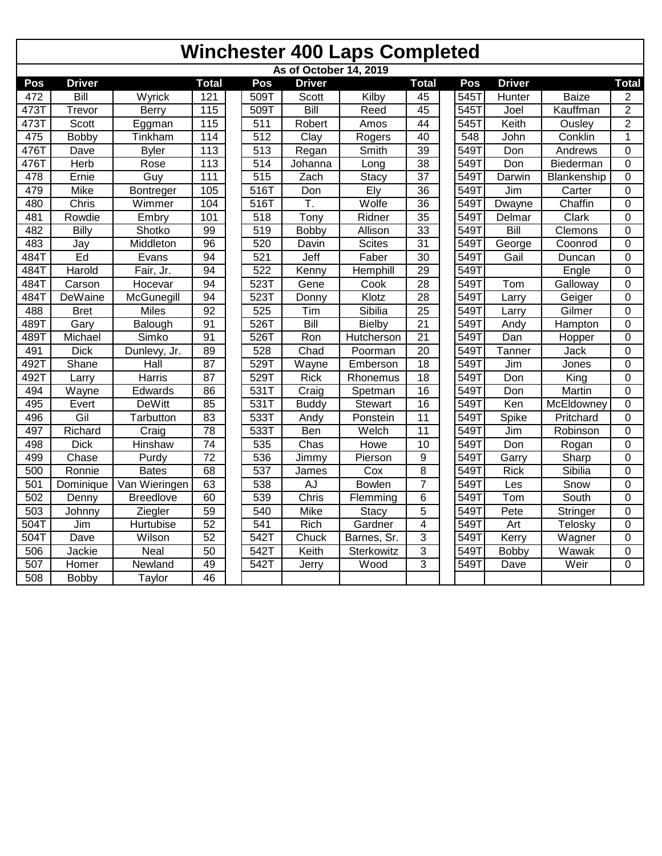|      | As of October 14, 2019 |                  |                 |  |                  |                    |               |                         |  |      |               |              |                |  |
|------|------------------------|------------------|-----------------|--|------------------|--------------------|---------------|-------------------------|--|------|---------------|--------------|----------------|--|
| Pos  | <b>Driver</b>          |                  | <b>Total</b>    |  | Pos              | <b>Driver</b>      |               | <b>Total</b>            |  | Pos  | <b>Driver</b> |              | <b>Total</b>   |  |
| 472  | Bill                   | Wyrick           | 121             |  | 509T             | Scott              | Kilby         | 45                      |  | 545T | Hunter        | <b>Baize</b> | $\overline{c}$ |  |
| 473T | Trevor                 | Berry            | 115             |  | 509T             | Bill               | Reed          | 45                      |  | 545T | Joel          | Kauffman     | $\overline{2}$ |  |
| 473T | <b>Scott</b>           | Eggman           | 115             |  | $\overline{511}$ | Robert             | Amos          | 44                      |  | 545T | Keith         | Ousley       | $\overline{2}$ |  |
| 475  | Bobby                  | Tinkham          | 114             |  | 512              | $\overline{C}$ lay | Rogers        | 40                      |  | 548  | John          | Conklin      | 1              |  |
| 476T | Dave                   | <b>Byler</b>     | 113             |  | $\overline{513}$ | Regan              | Smith         | 39                      |  | 549T | Don           | Andrews      | $\Omega$       |  |
| 476T | Herb                   | Rose             | 113             |  | $\overline{514}$ | Johanna            | Long          | $\overline{38}$         |  | 549T | Don           | Biederman    | $\mathbf 0$    |  |
| 478  | Ernie                  | Guy              | 111             |  | 515              | Zach               | <b>Stacy</b>  | $\overline{37}$         |  | 549T | Darwin        | Blankenship  | 0              |  |
| 479  | <b>Mike</b>            | Bontreger        | 105             |  | 516T             | Don                | Ely           | $\overline{36}$         |  | 549T | Jim           | Carter       | $\mathbf 0$    |  |
| 480  | Chris                  | Wimmer           | 104             |  | 516T             | T.                 | Wolfe         | $\overline{36}$         |  | 549T | <b>Dwayne</b> | Chaffin      | $\Omega$       |  |
| 481  | Rowdie                 | Embry            | 101             |  | 518              | Tony               | Ridner        | 35                      |  | 549T | Delmar        | Clark        | $\mathbf 0$    |  |
| 482  | <b>Billy</b>           | Shotko           | 99              |  | 519              | Bobby              | Allison       | 33                      |  | 549T | Bill          | Clemons      | 0              |  |
| 483  | Jay                    | Middleton        | $\overline{96}$ |  | 520              | Davin              | <b>Scites</b> | $\overline{31}$         |  | 549T | George        | Coonrod      | 0              |  |
| 484T | Ed                     | Evans            | 94              |  | 521              | Jeff               | Faber         | $\overline{30}$         |  | 549T | Gail          | Duncan       | 0              |  |
| 484T | Harold                 | Fair, Jr.        | 94              |  | 522              | Kenny              | Hemphill      | $\overline{29}$         |  | 549T |               | Engle        | $\mathbf 0$    |  |
| 484T | Carson                 | Hocevar          | 94              |  | 523T             | Gene               | Cook          | $\overline{28}$         |  | 549T | Tom           | Galloway     | 0              |  |
| 484T | DeWaine                | McGunegill       | $\overline{94}$ |  | 523T             | Donny              | Klotz         | $\overline{28}$         |  | 549T | Larry         | Geiger       | 0              |  |
| 488  | <b>Bret</b>            | <b>Miles</b>     | $\overline{92}$ |  | 525              | Tim                | Sibilia       | $\overline{25}$         |  | 549T | Larry         | Gilmer       | 0              |  |
| 489T | Gary                   | Balough          | 91              |  | 526T             | <b>Bill</b>        | <b>Bielby</b> | $\overline{21}$         |  | 549T | Andy          | Hampton      | 0              |  |
| 489T | Michael                | Simko            | 91              |  | 526T             | Ron                | Hutcherson    | 21                      |  | 549T | Dan           | Hopper       | $\mathbf 0$    |  |
| 491  | <b>Dick</b>            | Dunlevy, Jr.     | 89              |  | 528              | Chad               | Poorman       | $\overline{20}$         |  | 549T | Tanner        | Jack         | $\mathbf 0$    |  |
| 492T | Shane                  | Hall             | 87              |  | 529T             | Wayne              | Emberson      | $\overline{18}$         |  | 549T | Jim           | Jones        | $\mathbf 0$    |  |
| 492T | Larry                  | <b>Harris</b>    | $\overline{87}$ |  | 529T             | <b>Rick</b>        | Rhonemus      | $\overline{18}$         |  | 549T | Don           | King         | 0              |  |
| 494  | Wayne                  | Edwards          | 86              |  | 531T             | Craig              | Spetman       | 16                      |  | 549T | Don           | Martin       | 0              |  |
| 495  | Evert                  | <b>DeWitt</b>    | 85              |  | 531T             | <b>Buddy</b>       | Stewart       | 16                      |  | 549T | Ken           | McEldowney   | 0              |  |
| 496  | Gil                    | Tarbutton        | 83              |  | 533T             | Andy               | Ponstein      | $\overline{11}$         |  | 549T | Spike         | Pritchard    | $\overline{0}$ |  |
| 497  | Richard                | Craig            | 78              |  | 533T             | Ben                | Welch         | 11                      |  | 549T | Jim           | Robinson     | $\overline{0}$ |  |
| 498  | <b>Dick</b>            | <b>Hinshaw</b>   | $\overline{74}$ |  | 535              | Chas               | Howe          | 10                      |  | 549T | Don           | Rogan        | 0              |  |
| 499  | Chase                  | Purdy            | $\overline{72}$ |  | 536              | Jimmy              | Pierson       | 9                       |  | 549T | Garry         | Sharp        | 0              |  |
| 500  | Ronnie                 | <b>Bates</b>     | 68              |  | 537              | <b>James</b>       | Cox           | $\overline{8}$          |  | 549T | <b>Rick</b>   | Sibilia      | 0              |  |
| 501  | Dominique              | Van Wieringen    | 63              |  | 538              | AJ                 | <b>Bowlen</b> | $\overline{7}$          |  | 549T | Les           | Snow         | 0              |  |
| 502  | Denny                  | <b>Breedlove</b> | 60              |  | 539              | Chris              | Flemming      | 6                       |  | 549T | Tom           | South        | $\overline{0}$ |  |
| 503  | Johnny                 | Ziegler          | 59              |  | 540              | Mike               | Stacy         | 5                       |  | 549T | Pete          | Stringer     | $\mathbf 0$    |  |
| 504T | Jim                    | Hurtubise        | 52              |  | 541              | Rich               | Gardner       | $\overline{\mathbf{4}}$ |  | 549T | Art           | Telosky      | 0              |  |
| 504T | Dave                   | Wilson           | $\overline{52}$ |  | 542T             | Chuck              | Barnes, Sr.   | 3                       |  | 549T | Kerry         | Wagner       | 0              |  |
| 506  | Jackie                 | Neal             | $\overline{50}$ |  | 542T             | Keith              | Sterkowitz    | 3                       |  | 549T | <b>Bobby</b>  | Wawak        | 0              |  |
| 507  | Homer                  | Newland          | 49              |  | 542T             | Jerry              | Wood          | 3                       |  | 549T | Dave          | Weir         | 0              |  |
| 508  | Bobby                  | Taylor           | 46              |  |                  |                    |               |                         |  |      |               |              |                |  |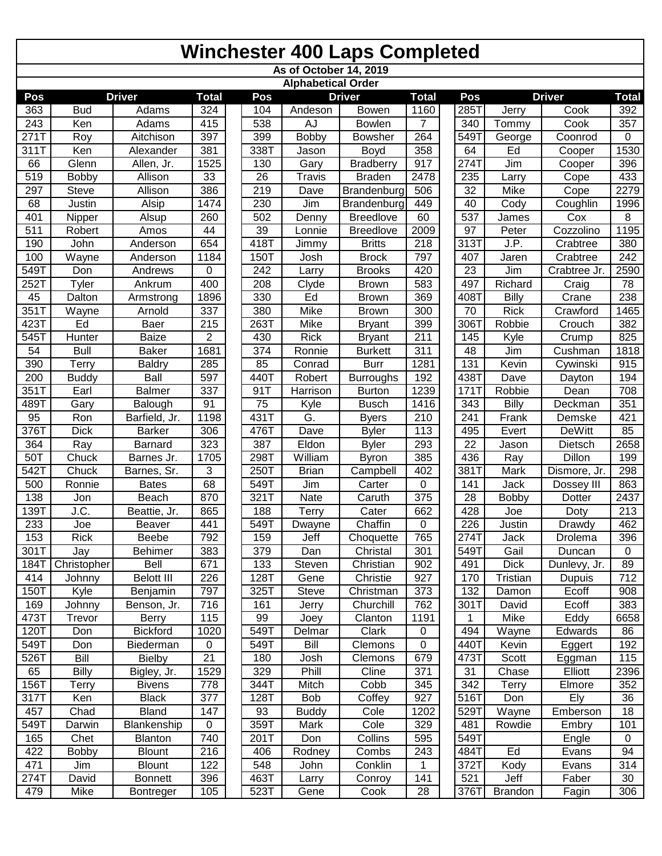|                   |              |                              |                |              |      |                           | <b>Winchester 400 Laps Completed</b> |                  |                 |                |                   |              |
|-------------------|--------------|------------------------------|----------------|--------------|------|---------------------------|--------------------------------------|------------------|-----------------|----------------|-------------------|--------------|
|                   |              |                              |                |              |      |                           | As of October 14, 2019               |                  |                 |                |                   |              |
| Pos               |              | <b>Driver</b>                | <b>Total</b>   | Pos          |      | <b>Alphabetical Order</b> | <b>Driver</b>                        | <b>Total</b>     | Pos             |                | <b>Driver</b>     | <b>Total</b> |
| 363               | <b>Bud</b>   | Adams                        | 324            | 104          |      | Andeson                   | Bowen                                | 1160             | 285T            | Jerry          | Cook              | 392          |
| 243               | Ken          | Adams                        | 415            | 538          |      | AJ                        | Bowlen                               | 7                | 340             | Tommy          | Cook              | 357          |
| 271T              | Roy          | Aitchison                    | 397            | 399          |      | Bobby                     | <b>Bowsher</b>                       | 264              | 549T            | George         | Coonrod           | $\mathbf 0$  |
| 311T              | Ken          | Alexander                    | 381            | 338T         |      | Jason                     | Boyd                                 | 358              | 64              | Ed             | Cooper            | 1530         |
| 66                | Glenn        | Allen, Jr.                   | 1525           | 130          |      | Gary                      | <b>Bradberry</b>                     | 917              | 274T            | Jim            | Cooper            | 396          |
| 519               | Bobby        | Allison                      | 33             | 26           |      | <b>Travis</b>             | <b>Braden</b>                        | 2478             | 235             | Larry          | Cope              | 433          |
| 297               | <b>Steve</b> | Allison                      | 386            | 219          |      | Dave                      | Brandenburg                          | 506              | 32              | Mike           | Cope              | 2279         |
| 68                | Justin       | Alsip                        | 1474           | 230          |      | Jim                       | Brandenburg                          | 449              | 40              | Cody           | Coughlin          | 1996         |
| 401               | Nipper       | Alsup                        | 260            | 502          |      | Denny                     | <b>Breedlove</b>                     | 60               | 537             | James          | Cox               | 8            |
| 511               | Robert       | Amos                         | 44             | 39           |      | Lonnie                    | <b>Breedlove</b>                     | 2009             | 97              | Peter          | Cozzolino         | 1195         |
| 190               | John         | Anderson                     | 654            | 418T         |      | Jimmy                     | <b>Britts</b>                        | 218              | 313T            | J.P.           | Crabtree          | 380          |
| 100               | Wayne        | Anderson                     | 1184           | 150T         |      | Josh                      | <b>Brock</b>                         | 797              | 407             | Jaren          | Crabtree          | 242          |
| 549T              | Don          | Andrews                      | 0              | 242          |      | Larry                     | <b>Brooks</b>                        | 420              | 23              | Jim            | Crabtree Jr.      | 2590         |
| 252T              | Tyler        | Ankrum                       | 400            | 208          |      | Clyde                     | <b>Brown</b>                         | 583              | 497             | Richard        | Craig             | 78           |
| 45                | Dalton       | Armstrong                    | 1896           | 330          |      | Ed                        | <b>Brown</b>                         | 369              | 408T            | Billy          | Crane             | 238          |
| $351\overline{1}$ | Wayne        | Arnold                       | 337            | 380          |      | Mike                      | <b>Brown</b>                         | 300              | 70              | <b>Rick</b>    | Crawford          | 1465         |
| 423T              | Ed           | <b>Baer</b>                  | 215            | 263T         |      | Mike                      | <b>Bryant</b>                        | 399              | 306T            | Robbie         | Crouch            | 382          |
| 545T              | Hunter       | <b>Baize</b>                 | $\overline{2}$ | 430          |      | <b>Rick</b>               | <b>Bryant</b>                        | 211              | 145             | Kyle           | Crump             | 825          |
| 54                | <b>Bull</b>  | <b>Baker</b>                 | 1681           | 374          |      | Ronnie                    | <b>Burkett</b>                       | 311              | 48              | Jim            | Cushman           | 1818         |
| 390               | <b>Terry</b> | <b>Baldry</b>                | 285            | 85           |      | Conrad                    | <b>Burr</b>                          | 1281             | 131             | Kevin          | Cywinski          | 915          |
| 200               | <b>Buddy</b> | Ball                         | 597            | 440T         |      | Robert                    | <b>Burroughs</b>                     | 192              | 438T            | Dave           | Dayton            | 194          |
| 351T              | Earl         | <b>Balmer</b>                | 337            | 91T          |      | Harrison                  | <b>Burton</b>                        | 1239             | <b>171T</b>     | Robbie         | Dean              | 708          |
| 489T              | Gary         | Balough                      | 91             | 75           |      | Kyle                      | <b>Busch</b>                         | 1416             | 343             | Billy          | Deckman           | 351          |
| 95                | Ron          | Barfield, Jr.                | 1198           | 431T         |      | G.                        | <b>Byers</b>                         | 210              | 241             | Frank          | Demske            | 421          |
| 376T              | <b>Dick</b>  | <b>Barker</b>                | 306            | 476T         |      | Dave                      | <b>Byler</b>                         | 113              | 495             | Evert          | <b>DeWitt</b>     | 85           |
| 364               | Ray          | <b>Barnard</b>               | 323            | 387          |      | Eldon                     | <b>Byler</b>                         | 293              | $\overline{22}$ | Jason          | Dietsch           | 2658         |
| 50T               | Chuck        | Barnes Jr.                   | 1705           | 298T         |      | William                   | <b>Byron</b>                         | 385              | 436             | Ray            | <b>Dillon</b>     | 199          |
| 542T              | Chuck        | Barnes, Sr.                  | 3              | 250T         |      | <b>Brian</b>              | Campbell                             | 402              | 381T            | Mark           | Dismore, Jr.      | 298          |
| 500               | Ronnie       | <b>Bates</b>                 | 68             | 549T         |      | Jim                       | Carter                               | 0                | 141             | Jack           | Dossey III        | 863          |
| 138               | Jon          | <b>Beach</b>                 | 870            | 321T         |      | Nate                      | Caruth                               | $\overline{375}$ | 28              | <b>Bobby</b>   | Dotter            | 2437         |
| 139T              | J.C.         | Beattie, Jr.                 | 865            | 188          |      | Terry                     | Cater                                | 662              | 428             | Joe            | Doty              | 213          |
| 233               | Joe          | <b>Beaver</b>                | 441            | 549T         |      | Dwayne                    | Chaffin                              | 0                | 226             | Justin         | Drawdy            | 462          |
| 153               | <b>Rick</b>  | <b>Beebe</b>                 | 792            | 159          |      | Jeff                      | Choquette                            | 765              | 274T            | Jack           | Drolema           | 396          |
| 301T              | Jay          | <b>Behimer</b>               | 383            | 379          |      | Dan                       | Christal                             | 301              | 549T            | Gail           | Duncan            | $\mathbf 0$  |
| 184T              | Christopher  | Bell                         | 671            | 133          |      | Steven                    | Christian                            | 902              | 491             | <b>Dick</b>    | Dunlevy, Jr.      | 89           |
| 414               | Johnny       | <b>Belott III</b>            | 226            | 128T         |      | Gene                      | Christie                             | 927              | 170             | Tristian       | Dupuis            | 712          |
| 150T              | Kyle         | Benjamin                     | 797            | 325T         |      | Steve                     | Christman                            | 373<br>762       | 132             | Damon          | Ecoff             | 908          |
| 169<br>473T       | Johnny       | Benson, Jr.                  | 716            | 161          |      | Jerry                     | Churchill                            |                  | 301T            | David          | Ecoff             | 383          |
|                   | Trevor       | <b>Berry</b>                 | 115            | 99           |      | Joey                      | Clanton                              | 1191             | 1               | Mike           | Eddy              | 6658         |
| 120T<br>549T      | Don          | <b>Bickford</b>              | 1020           | 549T<br>549T |      | Delmar<br>Bill            | Clark                                | 0<br>0           | 494<br>440T     | Wayne          | Edwards           | 86           |
| 526T              | Don<br>Bill  | Biederman                    | 0<br>21        | 180          |      | Josh                      | Clemons<br>Clemons                   | 679              | 473T            | Kevin<br>Scott | Eggert            | 192<br>115   |
| 65                | <b>Billy</b> | <b>Bielby</b>                |                | 329          |      | Phill                     | Cline                                | 371              |                 | Chase          | Eggman<br>Elliott |              |
| 156T              | Terry        | Bigley, Jr.<br><b>Bivens</b> | 1529<br>778    | 344T         |      | Mitch                     | Cobb                                 | 345              | 31<br>342       | Terry          | Elmore            | 2396         |
| 317T              | Ken          | <b>Black</b>                 | 377            | 128T         |      | <b>Bob</b>                | Coffey                               | 927              | 516T            | Don            |                   | 352<br>36    |
| 457               | Chad         | Bland                        | 147            | 93           |      | <b>Buddy</b>              | Cole                                 | 1202             | 529T            | Wayne          | Ely<br>Emberson   | 18           |
| 549T              | Darwin       | Blankenship                  | 0              | 359T         |      | Mark                      | Cole                                 | 329              | 481             | Rowdie         | Embry             | 101          |
| 165               | Chet         | Blanton                      | 740            | 201T         |      | Don                       | Collins                              | 595              | 549T            |                | Engle             | $\mathbf 0$  |
| 422               | <b>Bobby</b> | <b>Blount</b>                | 216            | 406          |      | Rodney                    | Combs                                | 243              | 484T            | Ed             | Evans             | 94           |
| 471               | Jim          | <b>Blount</b>                | 122            | 548          |      | John                      | Conklin                              | 1                | 372T            | Kody           | Evans             | 314          |
| 274T              | David        | <b>Bonnett</b>               | 396            | 463T         |      | Larry                     | Conroy                               | 141              | 521             | Jeff           | Faber             | 30           |
|                   | Mike         | Bontreger                    | 105            |              | 523T | Gene                      | Cook                                 | 28               | 376T            | <b>Brandon</b> | Fagin             | 306          |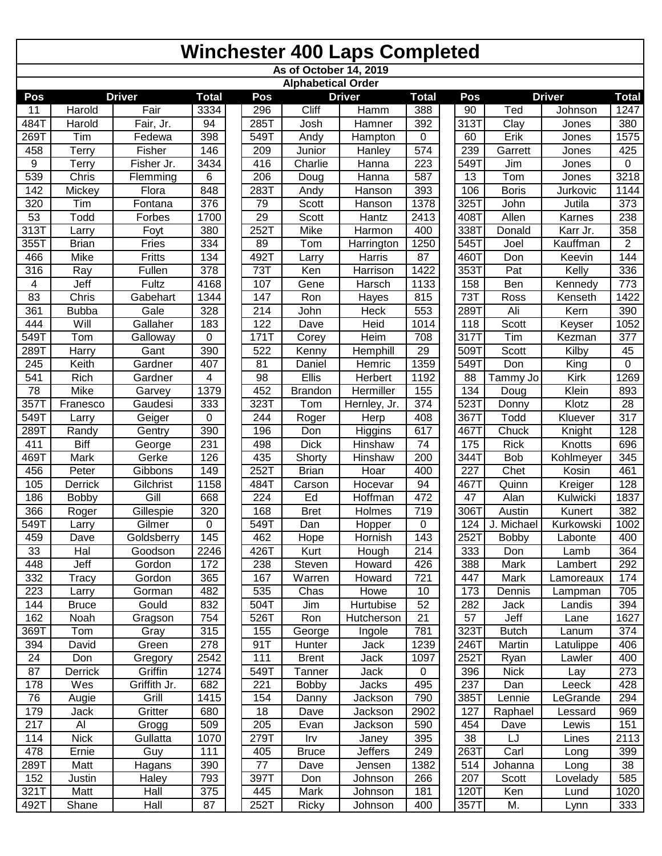|             | <b>Winchester 400 Laps Completed</b> |                    |              |  |             |                           |                 |                 |  |            |                          |                |                |  |
|-------------|--------------------------------------|--------------------|--------------|--|-------------|---------------------------|-----------------|-----------------|--|------------|--------------------------|----------------|----------------|--|
|             |                                      |                    |              |  |             | As of October 14, 2019    |                 |                 |  |            |                          |                |                |  |
|             |                                      |                    |              |  |             | <b>Alphabetical Order</b> |                 |                 |  |            |                          |                |                |  |
| Pos         |                                      | <b>Driver</b>      | <b>Total</b> |  | Pos         |                           | <b>Driver</b>   | <b>Total</b>    |  | Pos        |                          | <b>Driver</b>  | <b>Total</b>   |  |
| 11          | Harold                               | Fair               | 3334<br>94   |  | 296<br>285T | Cliff                     | Hamm<br>Hamner  | 388             |  | 90<br>313T | Ted<br>$\overline{Clay}$ | Johnson        | 1247           |  |
| 484T        | Harold<br>Tim                        | Fair, Jr.          |              |  | 549T        | Josh                      |                 | 392             |  |            | Erik                     | Jones          | 380<br>1575    |  |
| 269T<br>458 | Terry                                | Fedewa<br>Fisher   | 398<br>146   |  | 209         | Andy<br>Junior            | Hampton         | 0<br>574        |  | 60<br>239  | Garrett                  | Jones<br>Jones | 425            |  |
| 9           | Terry                                | Fisher Jr.         | 3434         |  | 416         | Charlie                   | Hanley<br>Hanna | 223             |  | 549T       | Jim                      | Jones          | $\mathbf 0$    |  |
| 539         | Chris                                | Flemming           | 6            |  | 206         | Doug                      | Hanna           | 587             |  | 13         | Tom                      | Jones          | 3218           |  |
| 142         | Mickey                               | Flora              | 848          |  | 283T        | Andy                      | Hanson          | 393             |  | 106        | <b>Boris</b>             | Jurkovic       | 1144           |  |
| 320         | Tim                                  | Fontana            | 376          |  | 79          | Scott                     | Hanson          | 1378            |  | 325T       | John                     | Jutila         | 373            |  |
| 53          | Todd                                 | Forbes             | 1700         |  | 29          | Scott                     | Hantz           | 2413            |  | 408T       | Allen                    | Karnes         | 238            |  |
| 313T        | Larry                                | Foyt               | 380          |  | 252T        | Mike                      | Harmon          | 400             |  | 338T       | Donald                   | Karr Jr.       | 358            |  |
| 355T        | <b>Brian</b>                         | Fries              | 334          |  | 89          | Tom                       | Harrington      | 1250            |  | 545T       | Joel                     | Kauffman       | $\overline{2}$ |  |
| 466         | Mike                                 | Fritts             | 134          |  | 492T        | Larry                     | Harris          | 87              |  | 460T       | Don                      | Keevin         | 144            |  |
| 316         | Ray                                  | Fullen             | 378          |  | 73T         | Ken                       | Harrison        | 1422            |  | 353T       | Pat                      | Kelly          | 336            |  |
| 4           | Jeff                                 | Fultz              | 4168         |  | 107         | Gene                      | Harsch          | 1133            |  | 158        | Ben                      | Kennedy        | 773            |  |
| 83          | Chris                                | Gabehart           | 1344         |  | 147         | Ron                       | Hayes           | 815             |  | <b>73T</b> | Ross                     | Kenseth        | 1422           |  |
| 361         | <b>Bubba</b>                         | Gale               | 328          |  | 214         | John                      | Heck            | 553             |  | 289T       | Ali                      | Kern           | 390            |  |
| 444         | Will                                 | Gallaher           | 183          |  | 122         | Dave                      | Heid            | 1014            |  | 118        | Scott                    | Keyser         | 1052           |  |
| 549T        | Tom                                  | Galloway           | 0            |  | 171T        | Corey                     | Heim            | 708             |  | 317T       | Tim                      | Kezman         | 377            |  |
| 289T        | Harry                                | Gant               | 390          |  | 522         | Kenny                     | Hemphill        | 29              |  | 509T       | Scott                    | Kilby          | 45             |  |
| 245         | Keith                                | Gardner            | 407          |  | 81          | Daniel                    | Hemric          | 1359            |  | 549T       | Don                      | King           | 0              |  |
| 541         | Rich                                 | Gardner            | 4            |  | 98          | Ellis                     | Herbert         | 1192            |  | 88         | Tammy Jo                 | Kirk           | 1269           |  |
| 78          | Mike                                 | Garvey             | 1379         |  | 452         | <b>Brandon</b>            | Hermiller       | 155             |  | 134        | Doug                     | Klein          | 893            |  |
| 357T        | Franesco                             | Gaudesi            | 333          |  | 323T        | Tom                       | Hernley, Jr.    | 374             |  | 523T       | Donny                    | Klotz          | 28             |  |
| 549T        | Larry                                | Geiger             | 0            |  | 244         | Roger                     | Herp            | 408             |  | 367T       | Todd                     | Kluever        | 317            |  |
| 289T        | Randy                                | Gentry             | 390          |  | 196         | Don                       | Higgins         | 617             |  | 467T       | Chuck                    | Knight         | 128            |  |
| 411         | <b>Biff</b>                          | George             | 231          |  | 498         | <b>Dick</b>               | Hinshaw         | $\overline{74}$ |  | 175        | <b>Rick</b>              | Knotts         | 696            |  |
| 469T        | <b>Mark</b>                          | Gerke              | 126          |  | 435         | Shorty                    | Hinshaw         | 200             |  | 344T       | Bob                      | Kohlmeyer      | 345            |  |
| 456         | Peter                                | Gibbons            | 149          |  | 252T        | <b>Brian</b>              | Hoar            | 400             |  | 227        | Chet                     | Kosin          | 461            |  |
| 105         | Derrick                              | Gilchrist          | 1158         |  | 484T        | Carson                    | Hocevar         | 94              |  | 467T       | Quinn                    | Kreiger        | 128            |  |
| 186         | <b>Bobby</b>                         | $\overline{G}$ ill | 668          |  | 224         | Ed                        | <b>Hoffman</b>  | 472             |  | 47         | Alan                     | Kulwicki       | 1837           |  |
| 366         | Roger                                | Gillespie          | 320          |  | 168         | <b>Bret</b>               | Holmes          | 719             |  | 306T       | Austin                   | Kunert         | 382            |  |
| 549T        | Larry                                | Gilmer             | 0            |  | 549T        | Dan                       | Hopper          | 0               |  | 124 I      | J. Michael               | Kurkowski      | 1002           |  |
| 459         | Dave                                 | Goldsberry         | 145          |  | 462         | Hope                      | Hornish         | 143             |  | 252T       | Bobby                    | Labonte        | 400            |  |
| 33          | Hal                                  | Goodson            | 2246         |  | 426T        | Kurt                      | Hough           | 214             |  | 333        | Don                      | Lamb           | 364            |  |
| 448         | Jeff                                 | Gordon             | 172          |  | 238         | Steven                    | Howard          | 426             |  | 388        | Mark                     | Lambert        | 292            |  |
| 332         | Tracy                                | Gordon             | 365          |  | 167         | Warren                    | Howard          | 721             |  | 447        | Mark                     | Lamoreaux      | 174            |  |
| 223         | Larry                                | Gorman             | 482          |  | 535         | Chas                      | Howe            | 10              |  | 173        | Dennis                   | Lampman        | 705            |  |
| 144         | <b>Bruce</b>                         | Gould              | 832          |  | 504T        | Jim                       | Hurtubise       | 52              |  | 282        | Jack                     | Landis         | 394            |  |
| 162         | Noah                                 | Gragson            | 754          |  | 526T        | Ron                       | Hutcherson      | $\overline{21}$ |  | 57         | Jeff                     | Lane           | 1627           |  |
| 369T        | Tom                                  | Gray               | 315          |  | 155         | George                    | Ingole          | 781             |  | 323T       | <b>Butch</b>             | Lanum          | 374            |  |
| 394         | David                                | Green              | 278          |  | 91T         | Hunter                    | Jack            | 1239            |  | 246T       | Martin                   | Latulippe      | 406            |  |
| 24          | Don                                  | Gregory            | 2542         |  | 111         | <b>Brent</b>              | Jack            | 1097            |  | 252T       | Ryan                     | Lawler         | 400            |  |
| 87          | Derrick                              | Griffin            | 1274         |  | 549T        | Tanner                    | Jack            | $\mathbf 0$     |  | 396        | <b>Nick</b>              | Lay            | 273            |  |
| 178         | Wes                                  | Griffith Jr.       | 682          |  | 221         | Bobby                     | Jacks           | 495             |  | 237        | Dan                      | Leeck          | 428            |  |
| 76          | Augie                                | $\overline{Grill}$ | 1415         |  | 154         | Danny                     | Jackson         | 790             |  | 385T       | Lennie                   | _eGrande       | 294            |  |
| 179         | Jack                                 | Gritter            | 680          |  | 18          | Dave                      | Jackson         | 2902            |  | 127        | Raphael                  | Lessard        | 969            |  |
| 217         | Al                                   | Grogg              | 509          |  | 205         | Evan                      | Jackson         | 590             |  | 454        | Dave                     | Lewis          | 151            |  |
| 114         | <b>Nick</b>                          | Gullatta           | 1070         |  | 279T        | Irv                       | Janey           | 395             |  | 38         | LJ                       | Lines          | 2113           |  |
| 478         | Ernie                                | Guy                | 111          |  | 405         | <b>Bruce</b>              | <b>Jeffers</b>  | 249             |  | 263T       | Carl                     | Long           | 399            |  |
| 289T        | Matt                                 | Hagans             | 390          |  | 77          | Dave                      | Jensen          | 1382            |  | 514        | Johanna                  | Long           | 38             |  |
| 152         | Justin                               | Haley              | 793          |  | 397T        | Don                       | Johnson         | 266             |  | 207        | Scott                    | Lovelady       | 585            |  |
| 321T        | Matt                                 | Hall               | 375          |  | 445         | Mark                      | Johnson         | 181             |  | 120T       | Ken                      | Lund           | 1020           |  |
| 492T        | Shane                                | Hall               | 87           |  | 252T        | Ricky                     | Johnson         | 400             |  | 357T       | M.                       | Lynn           | 333            |  |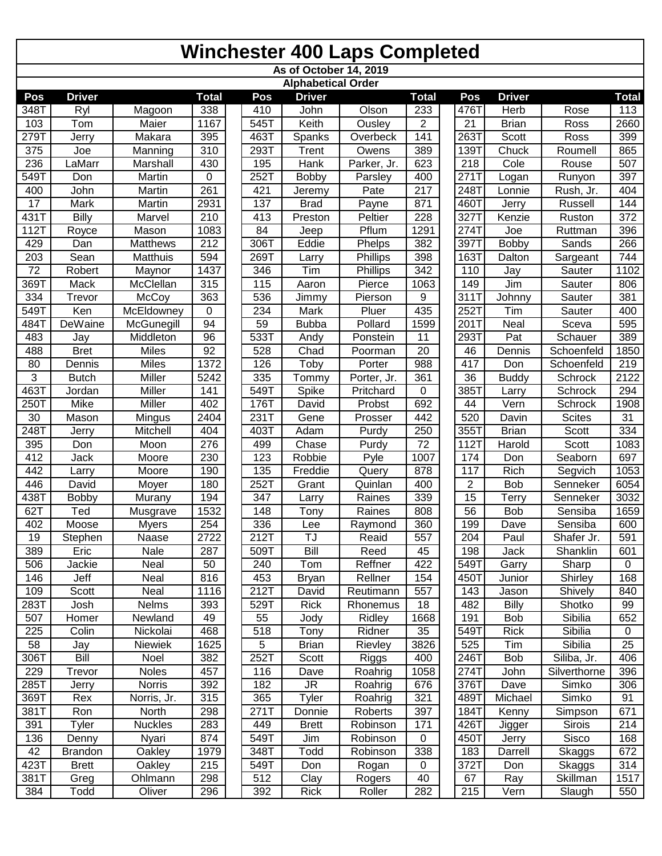|             | <b>Winchester 400 Laps Completed</b> |                |                  |  |      |                                            |             |              |  |                |               |               |                     |
|-------------|--------------------------------------|----------------|------------------|--|------|--------------------------------------------|-------------|--------------|--|----------------|---------------|---------------|---------------------|
|             |                                      |                |                  |  |      | As of October 14, 2019                     |             |              |  |                |               |               |                     |
|             | <b>Driver</b>                        |                | <b>Total</b>     |  | Pos  | <b>Alphabetical Order</b><br><b>Driver</b> |             | <b>Total</b> |  | Pos            | <b>Driver</b> |               |                     |
| Pos<br>348T | Ryl                                  | Magoon         | 338              |  | 410  | John                                       | Olson       | 233          |  | 476T           | Herb          | Rose          | <b>Total</b><br>113 |
| 103         | Tom                                  | Maier          | 1167             |  | 545T | Keith                                      | Ousley      | 2            |  | 21             | <b>Brian</b>  | Ross          | 2660                |
| 279T        | Jerry                                | Makara         | 395              |  | 463T | Spanks                                     | Overbeck    | 141          |  | 263T           | Scott         | Ross          | 399                 |
| 375         | Joe                                  | Manning        | 310              |  | 293T | Trent                                      | Owens       | 389          |  | 139T           | Chuck         | Roumell       | 865                 |
| 236         | LaMarr                               | Marshall       | 430              |  | 195  | Hank                                       | Parker, Jr. | 623          |  | 218            | Cole          | Rouse         | 507                 |
| 549T        | Don                                  | Martin         | 0                |  | 252T | Bobby                                      | Parsley     | 400          |  | 271T           | Logan         | Runyon        | 397                 |
| 400         | John                                 | Martin         | 261              |  | 421  | Jeremy                                     | Pate        | 217          |  | 248T           | Lonnie        | Rush, Jr.     | 404                 |
| 17          | Mark                                 | Martin         | 2931             |  | 137  | <b>Brad</b>                                | Payne       | 871          |  | 460T           | Jerry         | Russell       | 144                 |
| 431T        | Billy                                | Marvel         | 210              |  | 413  | Preston                                    | Peltier     | 228          |  | 327T           | Kenzie        | Ruston        | 372                 |
| 112T        | Royce                                | Mason          | 1083             |  | 84   | Jeep                                       | Pflum       | 1291         |  | 274T           | Joe           | Ruttman       | 396                 |
| 429         | Dan                                  | Matthews       | 212              |  | 306T | Eddie                                      | Phelps      | 382          |  | 397T           | Bobby         | Sands         | 266                 |
| 203         | Sean                                 | Matthuis       | 594              |  | 269T | Larry                                      | Phillips    | 398          |  | 163T           | Dalton        | Sargeant      | 744                 |
| 72          | Robert                               | Maynor         | 1437             |  | 346  | Tim                                        | Phillips    | 342          |  | 110            | Jay           | Sauter        | 1102                |
| 369T        | Mack                                 | McClellan      | 315              |  | 115  | Aaron                                      | Pierce      | 1063         |  | 149            | Jim           | Sauter        | 806                 |
| 334         | Trevor                               | <b>McCoy</b>   | 363              |  | 536  | Jimmy                                      | Pierson     | 9            |  | 311T           | Johnny        | Sauter        | 381                 |
| 549T        | Ken                                  | McEldowney     | 0                |  | 234  | Mark                                       | Pluer       | 435          |  | 252T           | Tim           | Sauter        | 400                 |
| 484T        | DeWaine                              | McGunegill     | 94               |  | 59   | <b>Bubba</b>                               | Pollard     | 1599         |  | 201T           | <b>Neal</b>   | Sceva         | 595                 |
| 483         | Jay                                  | Middleton      | 96               |  | 533T | Andy                                       | Ponstein    | 11           |  | 293T           | Pat           | Schauer       | 389                 |
| 488         | <b>Bret</b>                          | <b>Miles</b>   | 92               |  | 528  | Chad                                       | Poorman     | 20           |  | 46             | Dennis        | Schoenfeld    | 1850                |
| 80          | Dennis                               | <b>Miles</b>   | 1372             |  | 126  | Toby                                       | Porter      | 988          |  | 417            | Don           | Schoenfeld    | 219                 |
| 3           | <b>Butch</b>                         | Miller         | 5242             |  | 335  | Tommy                                      | Porter, Jr. | 361          |  | 36             | <b>Buddy</b>  | Schrock       | 2122                |
| 463T        | Jordan                               | Miller         | 141              |  | 549T | Spike                                      | Pritchard   | 0            |  | 385T           | Larry         | Schrock       | 294                 |
| 250T        | Mike                                 | Miller         | 402              |  | 176T | David                                      | Probst      | 692          |  | 44             | Vern          | Schrock       | 1908                |
| 30          | Mason                                | Mingus         | 2404             |  | 231T | Gene                                       | Prosser     | 442          |  | 520            | Davin         | <b>Scites</b> | 31                  |
| 248T        | Jerry                                | Mitchell       | 404              |  | 403T | Adam                                       | Purdy       | 250          |  | 355T           | <b>Brian</b>  | Scott         | 334                 |
| 395         | Don                                  | Moon           | $\overline{276}$ |  | 499  | Chase                                      | Purdy       | 72           |  | 112T           | Harold        | Scott         | 1083                |
| 412         | Jack                                 | Moore          | 230              |  | 123  | Robbie                                     | Pyle        | 1007         |  | 174            | Don           | Seaborn       | 697                 |
| 442         | Larry                                | Moore          | 190              |  | 135  | Freddie                                    | Query       | 878          |  | 117            | Rich          | Segvich       | 1053                |
| 446         | David                                | Moyer          | 180              |  | 252T | Grant                                      | Quinlan     | 400          |  | $\overline{2}$ | <b>Bob</b>    | Senneker      | 6054                |
| 438T        | <b>Bobby</b>                         | Murany         | 194              |  | 347  | Larry                                      | Raines      | 339          |  | 15             | Terry         | Senneker      | 3032                |
| 62T         | Ted                                  | Musgrave       | 1532             |  | 148  | Tony                                       | Raines      | 808          |  | 56             | <b>Bob</b>    | Sensiba       | 1659                |
| 402         | Moose                                | <b>Myers</b>   | 254              |  | 336  | Lee                                        | Raymond     | 360          |  | 199            | Dave          | Sensiba       | 600                 |
| 19          | Stephen                              | Naase          | 2722             |  | 212T | TJ                                         | Reaid       | 557          |  | 204            | Paul          | Shafer Jr.    | 591                 |
| 389         | Eric                                 | Nale           | 287              |  | 509T | Bill                                       | Reed        | 45           |  | 198            | Jack          | Shanklin      | 601                 |
| 506         | Jackie                               | Neal           | 50               |  | 240  | Tom                                        | Reffner     | 422          |  | 549T           | Garry         | Sharp         | $\mathsf 0$         |
| 146         | Jeff                                 | Neal           | 816              |  | 453  | <b>Bryan</b>                               | Rellner     | 154          |  | 450T           | Junior        | Shirley       | 168                 |
| 109         | Scott                                | Neal           | 1116             |  | 212T | David                                      | Reutimann   | 557          |  | 143            | Jason         | Shively       | 840                 |
| 283T        | Josh                                 | Nelms          | 393              |  | 529T | <b>Rick</b>                                | Rhonemus    | 18           |  | 482            | <b>Billy</b>  | Shotko        | 99                  |
| 507         | Homer                                | Newland        | 49               |  | 55   | Jody                                       | Ridley      | 1668         |  | 191            | <b>Bob</b>    | Sibilia       | 652                 |
| 225         | Colin                                | Nickolai       | 468              |  | 518  | Tony                                       | Ridner      | 35           |  | 549T           | <b>Rick</b>   | Sibilia       | $\mathbf 0$         |
| 58          | Jay                                  | Niewiek        | 1625             |  | 5    | <b>Brian</b>                               | Rievley     | 3826         |  | 525            | Tim           | Sibilia       | 25                  |
| 306T        | Bill                                 | Noel           | 382              |  | 252T | Scott                                      | Riggs       | 400          |  | 246T           | <b>Bob</b>    | Siliba, Jr.   | 406                 |
| 229         | Trevor                               | Noles          | 457              |  | 116  | Dave                                       | Roahrig     | 1058         |  | 274T           | John          | Silverthorne  | 396                 |
| 285T        | Jerry                                | <b>Norris</b>  | 392              |  | 182  | <b>JR</b>                                  | Roahrig     | 676          |  | 376T           | Dave          | Simko         | 306                 |
| 369T        | Rex                                  | Norris, Jr.    | 315              |  | 365  | Tyler                                      | Roahrig     | 321          |  | 489T           | Michael       | Simko         | 91                  |
| 381T        | Ron                                  | North          | 298              |  | 271T | Donnie                                     | Roberts     | 397          |  | 184T           | Kenny         | Simpson       | 671                 |
| 391         | Tyler                                | <b>Nuckles</b> | 283              |  | 449  | <b>Brett</b>                               | Robinson    | 171          |  | 426T           | Jigger        | Sirois        | 214                 |
| 136         | Denny                                | Nyari          | 874              |  | 549T | Jim                                        | Robinson    | 0            |  | 450T           | Jerry         | Sisco         | 168                 |
| 42          | <b>Brandon</b>                       | <b>Oakley</b>  | 1979             |  | 348T | Todd                                       | Robinson    | 338          |  | 183            | Darrell       | <b>Skaggs</b> | 672                 |
| 423T        | <b>Brett</b>                         | Oakley         | 215              |  | 549T | Don                                        | Rogan       | 0            |  | 372T           | Don           | <b>Skaggs</b> | 314                 |
| 381T        | Greg                                 | Ohlmann        | 298              |  | 512  | Clay                                       | Rogers      | 40           |  | 67             | Ray           | Skillman      | 1517                |
| 384         | Todd                                 | Oliver         | 296              |  | 392  | Rick                                       | Roller      | 282          |  | 215            | Vern          | Slaugh        | 550                 |